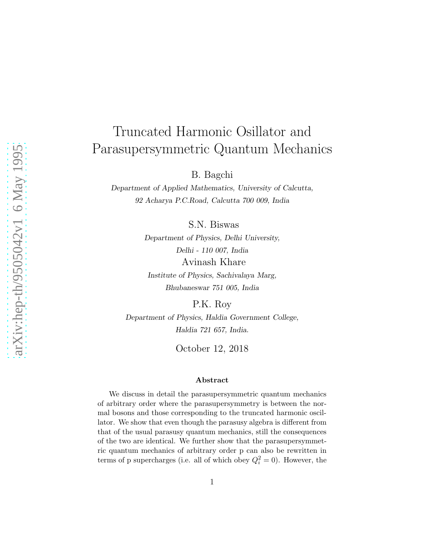## Truncated Harmonic Osillator and Parasupersymmetric Quantum Mechanics

B. Bagchi

Department of Applied Mathematics, University of Calcutta, 92 Acharya P.C.Road, Calcutta 700 009, India

S.N. Biswas

Department of Physics, Delhi University, Delhi - 110 007, India Avinash Khare

Institute of Physics, Sachivalaya Marg, Bhubaneswar 751 005, India

P.K. Roy

Department of Physics, Haldia Government College, Haldia 721 657, India.

October 12, 2018

## Abstract

We discuss in detail the parasupersymmetric quantum mechanics of arbitrary order where the parasupersymmetry is between the normal bosons and those corresponding to the truncated harmonic oscillator. We show that even though the parasusy algebra is different from that of the usual parasusy quantum mechanics, still the consequences of the two are identical. We further show that the parasupersymmetric quantum mechanics of arbitrary order p can also be rewritten in terms of p supercharges (i.e. all of which obey  $Q_i^2 = 0$ ). However, the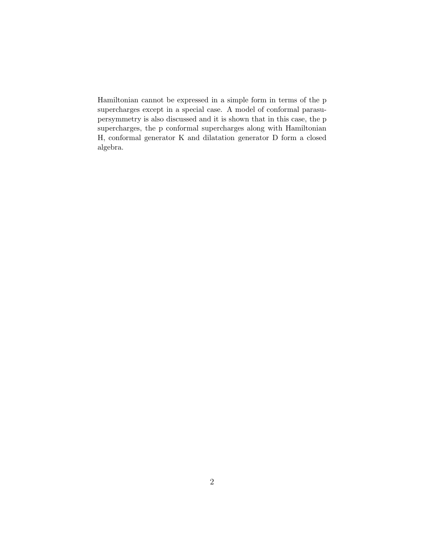Hamiltonian cannot be expressed in a simple form in terms of the p supercharges except in a special case. A model of conformal parasupersymmetry is also discussed and it is shown that in this case, the p supercharges, the p conformal supercharges along with Hamiltonian H, conformal generator K and dilatation generator D form a closed algebra.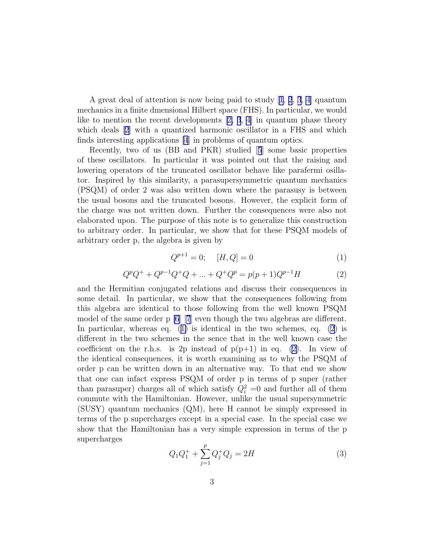<span id="page-2-0"></span>A great deal of attention is now being paid to study[[1](#page-8-0), [2](#page-8-0), [3](#page-8-0), [4](#page-8-0)] quantum mechanics in a finite dmensional Hilbert space (FHS). In particular, we would liketo mention the recent developments  $[2, 3, 4]$  $[2, 3, 4]$  $[2, 3, 4]$  $[2, 3, 4]$  $[2, 3, 4]$  in quantum phase theory whichdeals [[2\]](#page-8-0) with a quantized harmonic oscillator in a FHS and which finds interesting applications [\[4](#page-8-0)] in problems of quantum optics.

Recently, two of us (BB and PKR) studied[[5](#page-8-0)] some basic properties of these oscillators. In particular it was pointed out that the raising and lowering operators of the truncated oscillator behave like parafermi osillator. Inspired by this similarity, a parasupersymmetric quantum mechanics (PSQM) of order 2 was also written down where the parasusy is between the usual bosons and the truncated bosons. However, the explicit form of the charge was not written down. Further the consequences were also not elaborated upon. The purpose of this note is to generalize this construction to arbitrary order. In particular, we show that for these PSQM models of arbitrary order p, the algebra is given by

$$
Q^{p+1} = 0; \quad [H, Q] = 0 \tag{1}
$$

$$
Q^{p}Q^{+} + Q^{p-1}Q^{+}Q + \dots + Q^{+}Q^{p} = p(p+1)Q^{p-1}H
$$
\n(2)

and the Hermitian conjugated relations and discuss their consequences in some detail. In particular, we show that the consequences following from this algebra are identical to those following from the well known PSQM model of the same order p [\[6](#page-8-0)][[7](#page-8-0)] even though the two algebras are different. In particular, whereas eq. (1) is identical in the two schemes, eq. (2) is different in the two schemes in the sence that in the well known case the coefficient on the r.h.s. is 2p instead of  $p(p+1)$  in eq. (2). In view of the identical consequences, it is worth examining as to why the PSQM of order p can be written down in an alternative way. To that end we show that one can infact express PSQM of order p in terms of p super (rather than parasuper) charges all of which satisfy  $Q_i^2 = 0$  and further all of them commute with the Hamiltonian. However, unlike the usual supersymmetric (SUSY) quantum mechanics (QM), here H cannot be simply expressed in terms of the p supercharges except in a special case. In the special case we show that the Hamiltonian has a very simple expression in terms of the p supercharges

$$
Q_1 Q_1^+ + \sum_{j=1}^p Q_j^+ Q_j = 2H \tag{3}
$$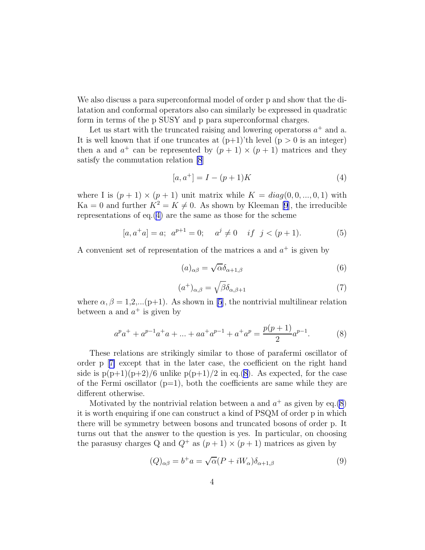<span id="page-3-0"></span>We also discuss a para superconformal model of order p and show that the dilatation and conformal operators also can similarly be expressed in quadratic form in terms of the p SUSY and p para superconformal charges.

Let us start with the truncated raising and lowering operatorss  $a^+$  and a. It is well known that if one truncates at  $(p+1)'$ th level  $(p > 0$  is an integer) then a and  $a^+$  can be represented by  $(p + 1) \times (p + 1)$  matrices and they satisfy the commutation relation [\[8](#page-8-0)]

$$
[a, a^{+}] = I - (p+1)K
$$
 (4)

where I is  $(p+1) \times (p+1)$  unit matrix while  $K = diag(0, 0, ..., 0, 1)$  with  $Ka = 0$  and further  $K^2 = K \neq 0$ . As shown by Kleeman [\[9](#page-8-0)], the irreducible representations of eq.(4) are the same as those for the scheme

$$
[a, a^+a] = a; a^{p+1} = 0; a^j \neq 0 \quad \text{if } j < (p+1).
$$
 (5)

A convenient set of representation of the matrices a and  $a^+$  is given by

$$
(a)_{\alpha\beta} = \sqrt{\alpha} \delta_{\alpha+1,\beta} \tag{6}
$$

$$
(a^{+})_{\alpha,\beta} = \sqrt{\beta} \delta_{\alpha,\beta+1}
$$
 (7)

where  $\alpha, \beta = 1, 2, \ldots (p+1)$ . As shown in [\[5](#page-8-0)], the nontrivial multilinear relation between a and  $a^+$  is given by

$$
a^p a^+ + a^{p-1} a^+ a + \dots + a^{p-1} + a^+ a^p = \frac{p(p+1)}{2} a^{p-1}.
$$
 (8)

These relations are strikingly similar to those of parafermi oscillator of order p[[7\]](#page-8-0) except that in the later case, the coefficient on the right hand side is  $p(p+1)(p+2)/6$  unlike  $p(p+1)/2$  in eq.(8). As expected, for the case of the Fermi oscillator  $(p=1)$ , both the coefficients are same while they are different otherwise.

Motivated by the nontrivial relation between a and  $a^+$  as given by eq.(8) it is worth enquiring if one can construct a kind of PSQM of order p in which there will be symmetry between bosons and truncated bosons of order p. It turns out that the answer to the question is yes. In particular, on choosing the parasusy charges Q and  $Q^+$  as  $(p+1) \times (p+1)$  matrices as given by

$$
(Q)_{\alpha\beta} = b^+a = \sqrt{\alpha}(P + iW_\alpha)\delta_{\alpha+1,\beta}
$$
\n(9)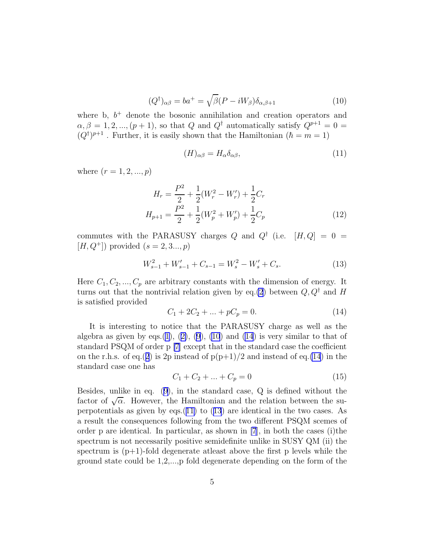$$
(Q^{\dagger})_{\alpha\beta} = ba^+ = \sqrt{\beta}(P - iW_{\beta})\delta_{\alpha,\beta+1}
$$
\n(10)

<span id="page-4-0"></span>where b,  $b^+$  denote the bosonic annihilation and creation operators and  $\alpha, \beta = 1, 2, ..., (p+1)$ , so that Q and Q<sup>†</sup> automatically satisfy  $Q^{p+1} = 0$  $(Q^{\dagger})^{p+1}$ . Further, it is easily shown that the Hamiltonian  $(\hbar = m = 1)$ 

$$
(H)_{\alpha\beta} = H_{\alpha}\delta_{\alpha\beta},\tag{11}
$$

where  $(r = 1, 2, ..., p)$ 

$$
H_r = \frac{P^2}{2} + \frac{1}{2}(W_r^2 - W_r') + \frac{1}{2}C_r
$$
  

$$
H_{p+1} = \frac{P^2}{2} + \frac{1}{2}(W_p^2 + W_p') + \frac{1}{2}C_p
$$
 (12)

commutes with the PARASUSY charges Q and  $Q^{\dagger}$  (i.e.  $[H,Q] = 0$  $[H, Q^+]$  provided  $(s = 2, 3..., p)$ 

$$
W_{s-1}^2 + W_{s-1}' + C_{s-1} = W_s^2 - W_s' + C_s. \tag{13}
$$

Here  $C_1, C_2, ..., C_p$  are arbitrary constants with the dimension of energy. It turns out that the nontrivial relation given by eq.[\(2](#page-2-0)) between  $Q, Q^{\dagger}$  and H is satisfied provided

$$
C_1 + 2C_2 + \dots + pC_p = 0. \tag{14}
$$

It is interesting to notice that the PARASUSY charge as well as the algebra as given by eqs.[\(1\)](#page-2-0),([2\)](#page-2-0), [\(9\)](#page-3-0), (10) and (14) is very similar to that of standard PSQM of order p [\[7](#page-8-0)] except that in the standard case the coefficient on the r.h.s. of eq.([2](#page-2-0)) is 2p instead of  $p(p+1)/2$  and instead of eq.(14) in the standard case one has

$$
C_1 + C_2 + \dots + C_p = 0 \tag{15}
$$

Besides, unlike in eq.([9\)](#page-3-0), in the standard case, Q is defined without the factor of  $\sqrt{\alpha}$ . However, the Hamiltonian and the relation between the superpotentials as given by eqs.(11) to (13) are identical in the two cases. As a result the consequences following from the two different PSQM scemes of order p are identical. In particular, as shown in  $[7]$ , in both the cases (i)the spectrum is not necessarily positive semidefinite unlike in SUSY QM (ii) the spectrum is  $(p+1)$ -fold degenerate at least above the first p levels while the ground state could be 1,2,...,p fold degenerate depending on the form of the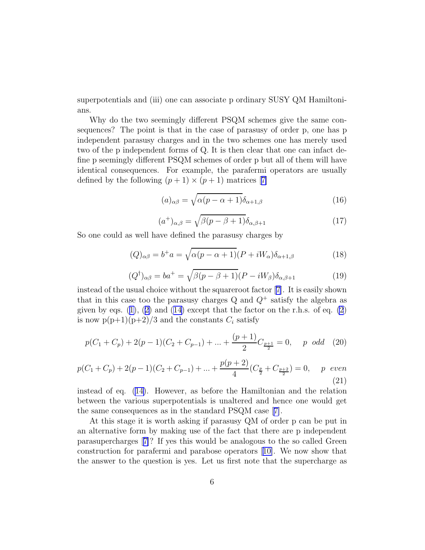superpotentials and (iii) one can associate p ordinary SUSY QM Hamiltonians.

Why do the two seemingly different PSQM schemes give the same consequences? The point is that in the case of parasusy of order p, one has p independent parasusy charges and in the two schemes one has merely used two of the p independent forms of Q. It is then clear that one can infact define p seemingly different PSQM schemes of order p but all of them will have identical consequences. For example, the parafermi operators are usually definedby the following  $(p+1) \times (p+1)$  matrices [[7\]](#page-8-0)

$$
(a)_{\alpha\beta} = \sqrt{\alpha(p - \alpha + 1)} \delta_{\alpha+1,\beta} \tag{16}
$$

$$
(a^{+})_{\alpha,\beta} = \sqrt{\beta(p-\beta+1)}\delta_{\alpha,\beta+1}
$$
 (17)

So one could as well have defined the parasusy charges by

$$
(Q)_{\alpha\beta} = b^+a = \sqrt{\alpha(p-\alpha+1)}(P+iW_\alpha)\delta_{\alpha+1,\beta}
$$
\n(18)

$$
(Q^{\dagger})_{\alpha\beta} = ba^+ = \sqrt{\beta(p - \beta + 1)}(P - iW_{\beta})\delta_{\alpha,\beta+1}
$$
 (19)

instead of the usual choice without the squareroot factor [\[7\]](#page-8-0). It is easily shown that in this case too the parasusy charges  $Q$  and  $Q^+$  satisfy the algebra as givenby eqs.  $(1), (2)$  $(1), (2)$  $(1), (2)$  $(1), (2)$  and  $(14)$  except that the factor on the r.h.s. of eq.  $(2)$ is now  $p(p+1)(p+2)/3$  and the constants  $C_i$  satisfy

$$
p(C_1 + C_p) + 2(p - 1)(C_2 + C_{p-1}) + \dots + \frac{(p+1)}{2}C_{\frac{p+1}{2}} = 0, \quad p \text{ odd} \quad (20)
$$

$$
p(C_1 + C_p) + 2(p - 1)(C_2 + C_{p-1}) + \dots + \frac{p(p+2)}{4}(C_{\frac{p}{2}} + C_{\frac{p+2}{2}}) = 0, \quad p \text{ even}
$$
\n(21)

instead of eq.([14\)](#page-4-0). However, as before the Hamiltonian and the relation between the various superpotentials is unaltered and hence one would get the same consequences as in the standard PSQM case[[7\]](#page-8-0).

At this stage it is worth asking if parasusy QM of order p can be put in an alternative form by making use of the fact that there are p independent parasupercharges[[7\]](#page-8-0)? If yes this would be analogous to the so called Green construction for parafermi and parabose operators[[10\]](#page-8-0). We now show that the answer to the question is yes. Let us first note that the supercharge as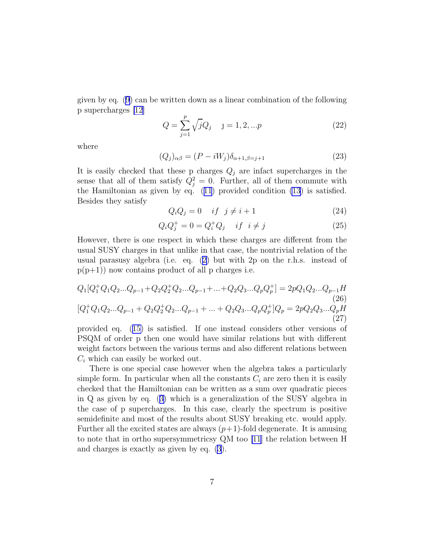given by eq. [\(9\)](#page-3-0) can be written down as a linear combination of the following p supercharges [\[12\]](#page-8-0)

$$
Q = \sum_{j=1}^{p} \sqrt{j}Q_j \quad j = 1, 2, ...p
$$
 (22)

where

$$
(Q_j)_{\alpha\beta} = (P - iW_j)\delta_{\alpha+1,\beta=j+1}
$$
\n(23)

It is easily checked that these p charges  $Q_j$  are infact supercharges in the sense that all of them satisfy  $Q_j^2 = 0$ . Further, all of them commute with the Hamiltonian as given by eq.([11](#page-4-0)) provided condition [\(13](#page-4-0)) is satisfied. Besides they satisfy

$$
Q_i Q_j = 0 \quad if \quad j \neq i+1 \tag{24}
$$

$$
Q_i Q_j^+ = 0 = Q_i^+ Q_j \quad if \quad i \neq j \tag{25}
$$

However, there is one respect in which these charges are different from the usual SUSY charges in that unlike in that case, the nontrivial relation of the usual parasusy algebra (i.e. eq.([2\)](#page-2-0) but with 2p on the r.h.s. instead of  $p(p+1)$  now contains product of all p charges i.e.

$$
Q_1[Q_1^+Q_1Q_2...Q_{p-1} + Q_2Q_2^+Q_2...Q_{p-1} + ... + Q_2Q_3...Q_pQ_p^+] = 2pQ_1Q_2...Q_{p-1}H
$$
\n
$$
[Q_1^+Q_1Q_2...Q_{p-1} + Q_2Q_2^+Q_2...Q_{p-1} + ... + Q_2Q_3...Q_pQ_p^+]Q_p = 2pQ_2Q_3...Q_pH
$$
\n
$$
(27)
$$

provided eq.([15\)](#page-4-0) is satisfied. If one instead considers other versions of PSQM of order p then one would have similar relations but with different weight factors between the various terms and also different relations between  $C_i$  which can easily be worked out.

There is one special case however when the algebra takes a particularly simple form. In particular when all the constants  $C_i$  are zero then it is easily checked that the Hamiltonian can be written as a sum over quadratic pieces in Q as given by eq.([3\)](#page-2-0) which is a generalization of the SUSY algebra in the case of p supercharges. In this case, clearly the spectrum is positive semidefinite and most of the results about SUSY breaking etc. would apply. Further all the excited states are always  $(p+1)$ -fold degenerate. It is amusing to note that in ortho supersymmetricsy QM too [\[11\]](#page-8-0) the relation between H and charges is exactly as given by eq. [\(3](#page-2-0)).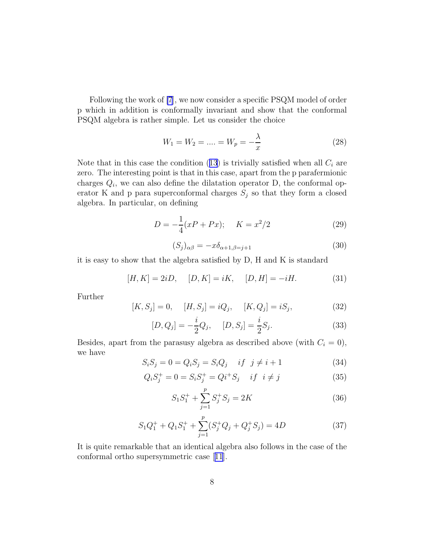Following the work of [\[7](#page-8-0)], we now consider a specific PSQM model of order p which in addition is conformally invariant and show that the conformal PSQM algebra is rather simple. Let us consider the choice

$$
W_1 = W_2 = \dots = W_p = -\frac{\lambda}{x}
$$
 (28)

Notethat in this case the condition  $(13)$  $(13)$  $(13)$  is trivially satisfied when all  $C_i$  are zero. The interesting point is that in this case, apart from the p parafermionic charges  $Q_i$ , we can also define the dilatation operator D, the conformal operator K and p para superconformal charges  $S_j$  so that they form a closed algebra. In particular, on defining

$$
D = -\frac{1}{4}(xP + Px); \quad K = x^2/2
$$
 (29)

$$
(S_j)_{\alpha\beta} = -x\delta_{\alpha+1,\beta=j+1} \tag{30}
$$

it is easy to show that the algebra satisfied by D, H and K is standard

$$
[H, K] = 2iD, \quad [D, K] = iK, \quad [D, H] = -iH. \tag{31}
$$

Further

$$
[K, S_j] = 0, \quad [H, S_j] = iQ_j, \quad [K, Q_j] = iS_j,
$$
\n(32)

$$
[D, Q_j] = -\frac{i}{2}Q_j, \quad [D, S_j] = \frac{i}{2}S_j.
$$
 (33)

Besides, apart from the parasusy algebra as described above (with  $C_i = 0$ ), we have

$$
S_i S_j = 0 = Q_i S_j = S_i Q_j \quad if \quad j \neq i+1
$$
\n(34)

$$
Q_i S_j^+ = 0 = S_i S_j^+ = Q i^+ S_j \quad \text{if } i \neq j \tag{35}
$$

$$
S_1 S_1^+ + \sum_{j=1}^p S_j^+ S_j = 2K\tag{36}
$$

$$
S_1 Q_1^+ + Q_1 S_1^+ + \sum_{j=1}^p (S_j^+ Q_j + Q_j^+ S_j) = 4D \tag{37}
$$

It is quite remarkable that an identical algebra also follows in the case of the conformal ortho supersymmetric case[[11](#page-8-0)].